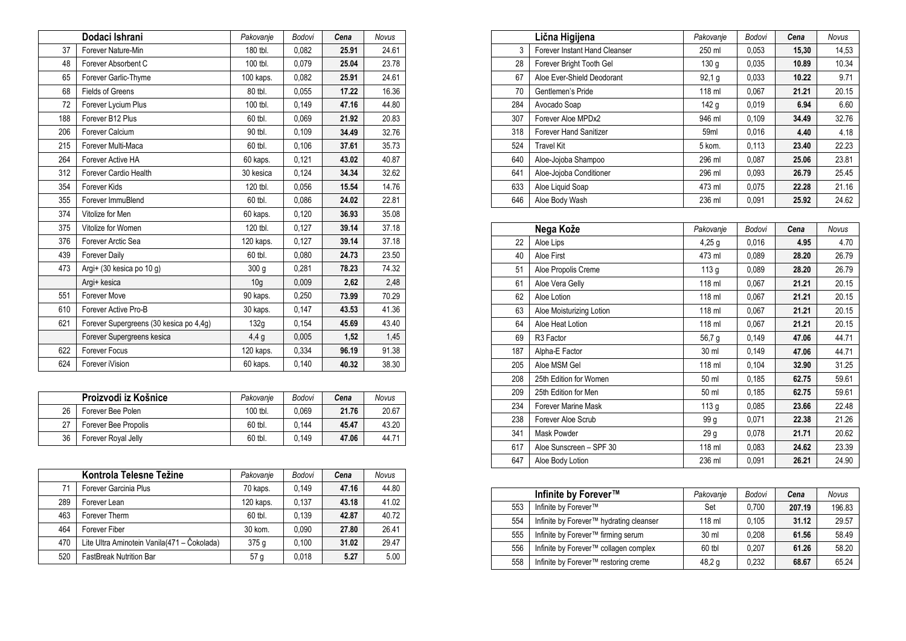|     | Dodaci Ishrani                          | Pakovanje        | <b>Bodovi</b> | Cena  | <b>Novus</b> |
|-----|-----------------------------------------|------------------|---------------|-------|--------------|
| 37  | Forever Nature-Min                      | 180 tbl.         | 0,082         | 25.91 | 24.61        |
| 48  | Forever Absorbent C                     | 100 tbl.         | 0,079         | 25.04 | 23.78        |
| 65  | Forever Garlic-Thyme                    | 100 kaps.        | 0,082         | 25.91 | 24.61        |
| 68  | <b>Fields of Greens</b>                 | 80 tbl.          | 0,055         | 17.22 | 16.36        |
| 72  | Forever Lycium Plus                     | 100 tbl.         | 0,149         | 47.16 | 44.80        |
| 188 | Forever B12 Plus                        | 60 tbl.          | 0.069         | 21.92 | 20.83        |
| 206 | Forever Calcium                         | 90 tbl.          | 0,109         | 34.49 | 32.76        |
| 215 | Forever Multi-Maca                      | 60 tbl.          | 0,106         | 37.61 | 35.73        |
| 264 | Forever Active HA                       | 60 kaps.         | 0,121         | 43.02 | 40.87        |
| 312 | Forever Cardio Health                   | 30 kesica        | 0.124         | 34.34 | 32.62        |
| 354 | Forever Kids                            | 120 tbl.         | 0.056         | 15.54 | 14.76        |
| 355 | Forever ImmuBlend                       | 60 tbl.          | 0,086         | 24.02 | 22.81        |
| 374 | Vitolize for Men                        | 60 kaps.         | 0,120         | 36.93 | 35.08        |
| 375 | Vitolize for Women                      | 120 tbl.         | 0,127         | 39.14 | 37.18        |
| 376 | Forever Arctic Sea                      | 120 kaps.        | 0,127         | 39.14 | 37.18        |
| 439 | <b>Forever Daily</b>                    | 60 tbl.          | 0,080         | 24.73 | 23.50        |
| 473 | Argi+ (30 kesica po 10 g)               | 300 <sub>g</sub> | 0,281         | 78.23 | 74.32        |
|     | Argi+ kesica                            | 10 <sub>g</sub>  | 0,009         | 2,62  | 2,48         |
| 551 | Forever Move                            | 90 kaps.         | 0,250         | 73.99 | 70.29        |
| 610 | Forever Active Pro-B                    | 30 kaps.         | 0,147         | 43.53 | 41.36        |
| 621 | Forever Supergreens (30 kesica po 4,4g) | 132g             | 0,154         | 45.69 | 43.40        |
|     | Forever Supergreens kesica              | 4,4g             | 0,005         | 1,52  | 1,45         |
| 622 | Forever Focus                           | 120 kaps.        | 0,334         | 96.19 | 91.38        |
| 624 | Forever iVision                         | 60 kaps.         | 0,140         | 40.32 | 38.30        |

|    | Proizvodi iz Košnice | Pakovanie | Bodovi | Cena  | Novus |
|----|----------------------|-----------|--------|-------|-------|
| 26 | Forever Bee Polen    | 100 tbl.  | 0.069  | 21.76 | 20.67 |
| 27 | Forever Bee Propolis | 60 tbl.   | 0.144  | 45.47 | 43.20 |
| 36 | Forever Royal Jelly  | 60 tbl.   | 0.149  | 47.06 | 44.71 |

|     | Kontrola Telesne Težine                     | Pakovanje       | Bodovi | Cena  | <b>Novus</b> |
|-----|---------------------------------------------|-----------------|--------|-------|--------------|
| 71  | Forever Garcinia Plus                       | 70 kaps.        | 0.149  | 47.16 | 44.80        |
| 289 | Forever Lean                                | 120 kaps.       | 0.137  | 43.18 | 41.02        |
| 463 | Forever Therm                               | 60 tbl.         | 0.139  | 42.87 | 40.72        |
| 464 | Forever Fiber                               | 30 kom.         | 0.090  | 27.80 | 26.41        |
| 470 | Lite Ultra Aminotein Vanila(471 – Čokolada) | 375q            | 0.100  | 31.02 | 29.47        |
| 520 | <b>FastBreak Nutrition Bar</b>              | 57 <sub>g</sub> | 0.018  | 5.27  | 5.00         |

|     | Lična Higijena                | Pakovanje        | Bodovi | Cena  | <b>Novus</b> |
|-----|-------------------------------|------------------|--------|-------|--------------|
| 3   | Forever Instant Hand Cleanser | 250 ml           | 0,053  | 15,30 | 14,53        |
| 28  | Forever Bright Tooth Gel      | 130 g            | 0,035  | 10.89 | 10.34        |
| 67  | Aloe Ever-Shield Deodorant    | 92,1g            | 0,033  | 10.22 | 9.71         |
| 70  | Gentlemen's Pride             | 118 ml           | 0.067  | 21.21 | 20.15        |
| 284 | Avocado Soap                  | 142 <sub>g</sub> | 0,019  | 6.94  | 6.60         |
| 307 | Forever Aloe MPDx2            | 946 ml           | 0,109  | 34.49 | 32.76        |
| 318 | <b>Forever Hand Sanitizer</b> | 59 <sub>ml</sub> | 0.016  | 4.40  | 4.18         |
| 524 | <b>Travel Kit</b>             | 5 kom.           | 0.113  | 23.40 | 22.23        |
| 640 | Aloe-Jojoba Shampoo           | 296 ml           | 0.087  | 25.06 | 23.81        |
| 641 | Aloe-Jojoba Conditioner       | 296 ml           | 0,093  | 26.79 | 25.45        |
| 633 | Aloe Liquid Soap              | 473 ml           | 0.075  | 22.28 | 21.16        |
| 646 | Aloe Body Wash                | 236 ml           | 0,091  | 25.92 | 24.62        |

|     | Nega Kože                | Pakovanje        | Bodovi | Cena  | <b>Novus</b> |
|-----|--------------------------|------------------|--------|-------|--------------|
| 22  | Aloe Lips                | $4,25$ g         | 0,016  | 4.95  | 4.70         |
| 40  | Aloe First               | 473 ml           | 0,089  | 28.20 | 26.79        |
| 51  | Aloe Propolis Creme      | 113 <sub>g</sub> | 0,089  | 28.20 | 26.79        |
| 61  | Aloe Vera Gelly          | 118 ml           | 0,067  | 21.21 | 20.15        |
| 62  | Aloe Lotion              | 118 ml           | 0,067  | 21.21 | 20.15        |
| 63  | Aloe Moisturizing Lotion | 118 ml           | 0,067  | 21.21 | 20.15        |
| 64  | Aloe Heat Lotion         | 118 ml           | 0,067  | 21.21 | 20.15        |
| 69  | R <sub>3</sub> Factor    | 56,7 g           | 0,149  | 47.06 | 44.71        |
| 187 | Alpha-E Factor           | 30 ml            | 0,149  | 47.06 | 44.71        |
| 205 | Aloe MSM Gel             | 118 ml           | 0,104  | 32.90 | 31.25        |
| 208 | 25th Edition for Women   | 50 ml            | 0,185  | 62.75 | 59.61        |
| 209 | 25th Edition for Men     | 50 ml            | 0,185  | 62.75 | 59.61        |
| 234 | Forever Marine Mask      | 113 <sub>g</sub> | 0,085  | 23.66 | 22.48        |
| 238 | Forever Aloe Scrub       | 99 g             | 0,071  | 22.38 | 21.26        |
| 341 | Mask Powder              | 29 g             | 0,078  | 21.71 | 20.62        |
| 617 | Aloe Sunscreen - SPF 30  | 118 ml           | 0,083  | 24.62 | 23.39        |
| 647 | Aloe Body Lotion         | 236 ml           | 0,091  | 26.21 | 24.90        |

|     | Infinite by Forever™                    | Pakovanje | Bodovi | Cena   | Novus  |
|-----|-----------------------------------------|-----------|--------|--------|--------|
| 553 | Infinite by Forever™                    | Set       | 0.700  | 207.19 | 196.83 |
| 554 | Infinite by Forever™ hydrating cleanser | 118 ml    | 0.105  | 31.12  | 29.57  |
| 555 | Infinite by Forever™ firming serum      | 30 ml     | 0.208  | 61.56  | 58.49  |
| 556 | Infinite by Forever™ collagen complex   | 60 tbl    | 0.207  | 61.26  | 58.20  |
| 558 | Infinite by Forever™ restoring creme    | 48,2 g    | 0.232  | 68.67  | 65.24  |